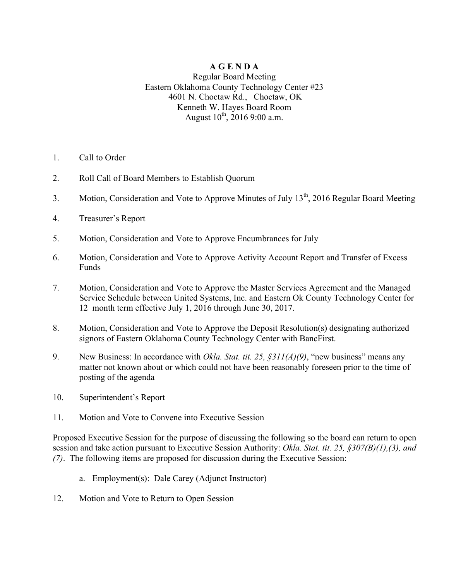## **A G E N D A**

Regular Board Meeting Eastern Oklahoma County Technology Center #23 4601 N. Choctaw Rd., Choctaw, OK Kenneth W. Hayes Board Room August  $10^{th}$ , 2016 9:00 a.m.

- 1. Call to Order
- 2. Roll Call of Board Members to Establish Quorum
- 3. Motion, Consideration and Vote to Approve Minutes of July 13<sup>th</sup>, 2016 Regular Board Meeting
- 4. Treasurer's Report
- 5. Motion, Consideration and Vote to Approve Encumbrances for July
- 6. Motion, Consideration and Vote to Approve Activity Account Report and Transfer of Excess Funds
- 7. Motion, Consideration and Vote to Approve the Master Services Agreement and the Managed Service Schedule between United Systems, Inc. and Eastern Ok County Technology Center for 12 month term effective July 1, 2016 through June 30, 2017.
- 8. Motion, Consideration and Vote to Approve the Deposit Resolution(s) designating authorized signors of Eastern Oklahoma County Technology Center with BancFirst.
- 9. New Business: In accordance with *Okla. Stat. tit. 25, §311(A)(9)*, "new business" means any matter not known about or which could not have been reasonably foreseen prior to the time of posting of the agenda
- 10. Superintendent's Report
- 11. Motion and Vote to Convene into Executive Session

Proposed Executive Session for the purpose of discussing the following so the board can return to open session and take action pursuant to Executive Session Authority: *Okla. Stat. tit. 25, §307(B)(1),(3), and (7)*. The following items are proposed for discussion during the Executive Session:

- a. Employment(s): Dale Carey (Adjunct Instructor)
- 12. Motion and Vote to Return to Open Session